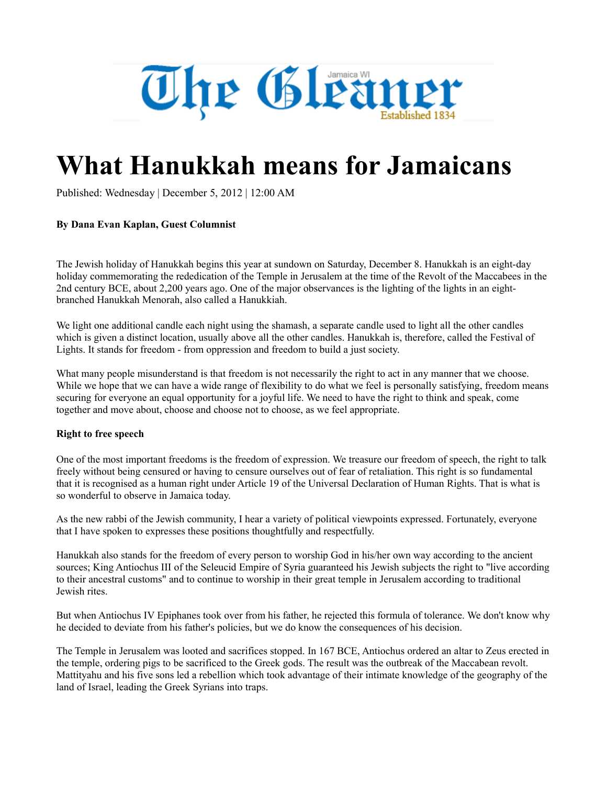

## **What Hanukkah means for Jamaicans**

Published: Wednesday | December 5, 2012 | 12:00 AM

## **By Dana Evan Kaplan, Guest Columnist**

The Jewish holiday of Hanukkah begins this year at sundown on Saturday, December 8. Hanukkah is an eight-day holiday commemorating the rededication of the Temple in Jerusalem at the time of the Revolt of the Maccabees in the 2nd century BCE, about 2,200 years ago. One of the major observances is the lighting of the lights in an eightbranched Hanukkah Menorah, also called a Hanukkiah.

We light one additional candle each night using the shamash, a separate candle used to light all the other candles which is given a distinct location, usually above all the other candles. Hanukkah is, therefore, called the Festival of Lights. It stands for freedom - from oppression and freedom to build a just society.

What many people misunderstand is that freedom is not necessarily the right to act in any manner that we choose. While we hope that we can have a wide range of flexibility to do what we feel is personally satisfying, freedom means securing for everyone an equal opportunity for a joyful life. We need to have the right to think and speak, come together and move about, choose and choose not to choose, as we feel appropriate.

## **Right to free speech**

One of the most important freedoms is the freedom of expression. We treasure our freedom of speech, the right to talk freely without being censured or having to censure ourselves out of fear of retaliation. This right is so fundamental that it is recognised as a human right under Article 19 of the Universal Declaration of Human Rights. That is what is so wonderful to observe in Jamaica today.

As the new rabbi of the Jewish community, I hear a variety of political viewpoints expressed. Fortunately, everyone that I have spoken to expresses these positions thoughtfully and respectfully.

Hanukkah also stands for the freedom of every person to worship God in his/her own way according to the ancient sources; King Antiochus III of the Seleucid Empire of Syria guaranteed his Jewish subjects the right to "live according to their ancestral customs" and to continue to worship in their great temple in Jerusalem according to traditional Jewish rites.

But when Antiochus IV Epiphanes took over from his father, he rejected this formula of tolerance. We don't know why he decided to deviate from his father's policies, but we do know the consequences of his decision.

The Temple in Jerusalem was looted and sacrifices stopped. In 167 BCE, Antiochus ordered an altar to Zeus erected in the temple, ordering pigs to be sacrificed to the Greek gods. The result was the outbreak of the Maccabean revolt. Mattityahu and his five sons led a rebellion which took advantage of their intimate knowledge of the geography of the land of Israel, leading the Greek Syrians into traps.